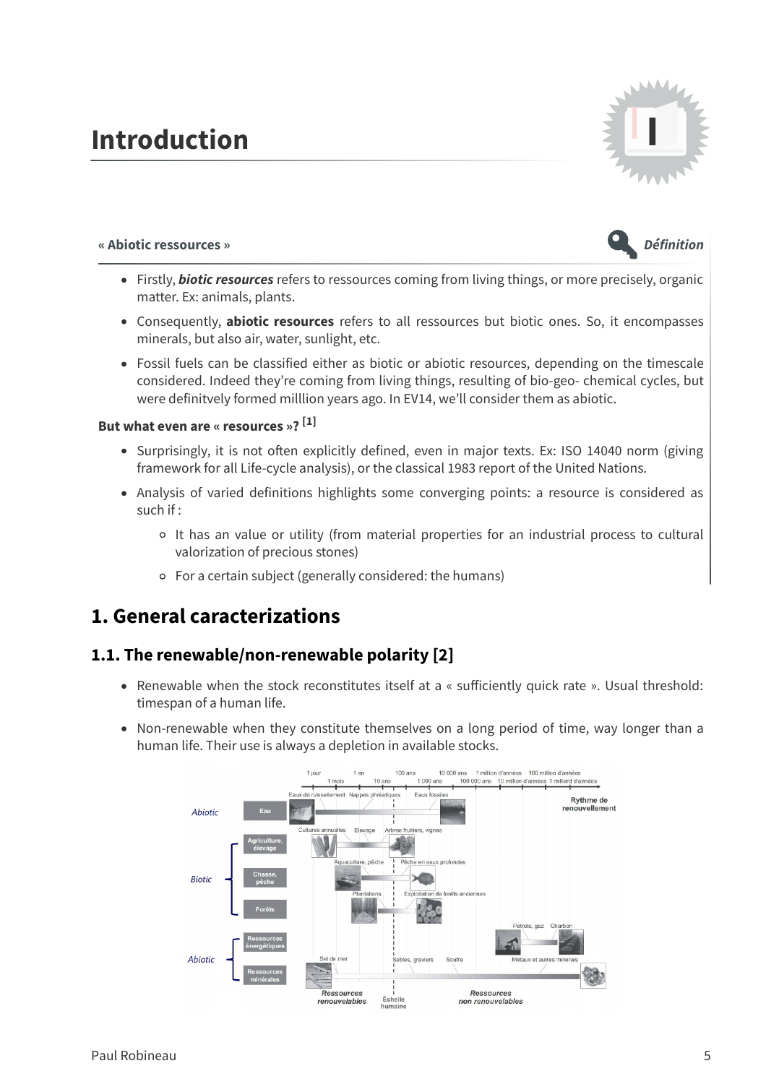# **Introduction I**



#### **« Abiotic ressources » Définition**



- Firstly, **biotic resources** refers to ressources coming from living things, or more precisely, organic matter. Ex: animals, plants.
- Consequently, **abiotic resources** refers to all ressources but biotic ones. So, it encompasses minerals, but also air, water, sunlight, etc.
- Fossil fuels can be classified either as biotic or abiotic resources, depending on the timescale considered. Indeed they're coming from living things, resulting of bio-geo- chemical cycles, but were definitvely formed milllion years ago. In EV14, we'll consider them as abiotic.

#### **But what even are « resources »? [1]**

- Surprisingly, it is not often explicitly defined, even in major texts. Ex: ISO 14040 norm (giving framework for all Life-cycle analysis), or the classical 1983 report of the United Nations.
- Analysis of varied definitions highlights some converging points: a resource is considered as such if :
	- It has an value or utility (from material properties for an industrial process to cultural valorization of precious stones)
	- For a certain subject (generally considered: the humans)

# **1. General caracterizations**

## **1.1. The renewable/non-renewable polarity [2]**

- Renewable when the stock reconstitutes itself at a « sufficiently quick rate ». Usual threshold: timespan of a human life.
- Non-renewable when they constitute themselves on a long period of time, way longer than a human life. Their use is always a depletion in available stocks.